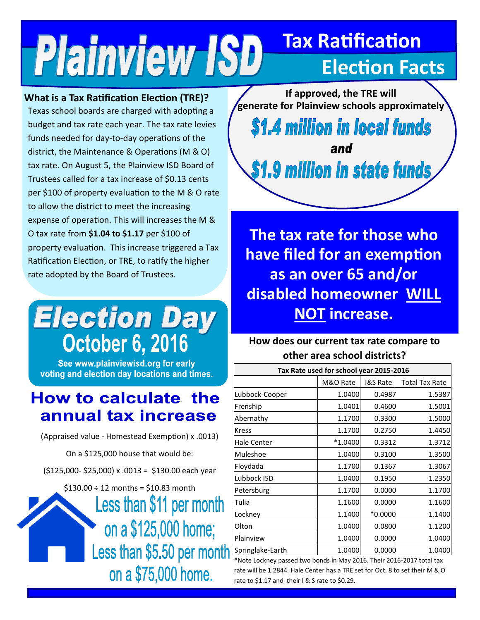## **Tax Ratification Plainview ISD Election Facts**

**What is a Tax Ratification Election (TRE)?** 

Texas school boards are charged with adopting a budget and tax rate each year. The tax rate levies funds needed for day-to-day operations of the district, the Maintenance & Operations (M & O) tax rate. On August 5, the Plainview ISD Board of Trustees called for a tax increase of \$0.13 cents per \$100 of property evaluation to the M & O rate to allow the district to meet the increasing expense of operation. This will increases the M & O tax rate from **\$1.04 to \$1.17** per \$100 of property evaluation. This increase triggered a Tax Ratification Election, or TRE, to ratify the higher rate adopted by the Board of Trustees.

# **Election Day October 6, 2016**

See www.plainviewisd.org for early voting and election day locations and times.

## **How to calculate the** annual tax increase

(Appraised value - Homestead Exemption) x .0013)

On a \$125,000 house that would be:

(\$125,000- \$25,000) x .0013 = \$130.00 each year

 $$130.00 \div 12$  months = \$10.83 month

Less than \$11 per month on a \$125,000 home; Less than \$5.50 per month on a \$75,000 home.



**The tax rate for those who have filed for an exemption as an over 65 and/or disabled homeowner WILL NOT increase.**

### **How does our current tax rate compare to other area school districts?**

| Tax Rate used for school year 2015-2016 |           |                     |                       |
|-----------------------------------------|-----------|---------------------|-----------------------|
|                                         | M&O Rate  | <b>I&amp;S Rate</b> | <b>Total Tax Rate</b> |
| Lubbock-Cooper                          | 1.0400    | 0.4987              | 1.5387                |
| Frenship                                | 1.0401    | 0.4600              | 1.5001                |
| Abernathy                               | 1.1700    | 0.3300              | 1.5000                |
| Kress                                   | 1.1700    | 0.2750              | 1.4450                |
| Hale Center                             | $*1.0400$ | 0.3312              | 1.3712                |
| Muleshoe                                | 1.0400    | 0.3100              | 1.3500                |
| Floydada                                | 1.1700    | 0.1367              | 1.3067                |
| Lubbock ISD                             | 1.0400    | 0.1950              | 1.2350                |
| Petersburg                              | 1.1700    | 0.0000              | 1.1700                |
| Tulia                                   | 1.1600    | 0.0000              | 1.1600                |
| Lockney                                 | 1.1400    | *0.0000             | 1.1400                |
| Olton                                   | 1.0400    | 0.0800              | 1.1200                |
| Plainview                               | 1.0400    | 0.0000              | 1.0400                |
| Springlake-Earth                        | 1.0400    | 0.0000              | 1.0400                |

\*Note Lockney passed two bonds in May 2016. Their 2016-2017 total tax rate will be 1.2844. Hale Center has a TRE set for Oct. 8 to set their M & O rate to \$1.17 and their I & S rate to \$0.29.